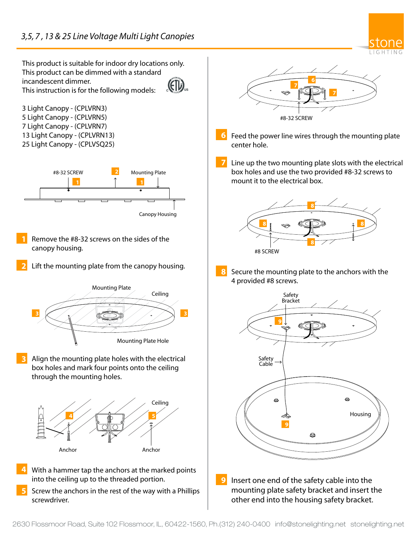

This product is suitable for indoor dry locations only. This product can be dimmed with a standard incandescent dimmer. (Elb This instruction is for the following models: 3 Light Canopy - (CPLVRN3) 5 Light Canopy - (CPLVRN5) 7 Light Canopy - (CPLVRN7) 13 Light Canopy - (CPLVRN13) **6** 25 Light Canopy - (CPLVSQ25) **7** #8-32 SCREW **2** Mounting Plate **1 1** Canopy Housing Remove the #8-32 screws on the sides of the canopy housing. Lift the mounting plate from the canopy housing. **8** Mounting Plate Ceiling **3 3 3 1 1 1 3 3 1 1 1 3 3** Mounting Plate Hole Align the mounting plate holes with the electrical box holes and mark four points onto the ceiling through the mounting holes. Ceiling **4 5** Anchor Anchor With a hammer tap the anchors at the marked points into the ceiling up to the threaded portion. Screw the anchors in the rest of the way with a Phillips screwdriver.

**2**

**3**

**4**

**5**



- Feed the power line wires through the mounting plate center hole.
- Line up the two mounting plate slots with the electrical box holes and use the two provided #8-32 screws to mount it to the electrical box.



Secure the mounting plate to the anchors with the 4 provided #8 screws.



**9** Insert one end of the safety cable into the mounting plate safety bracket and insert the other end into the housing safety bracket.